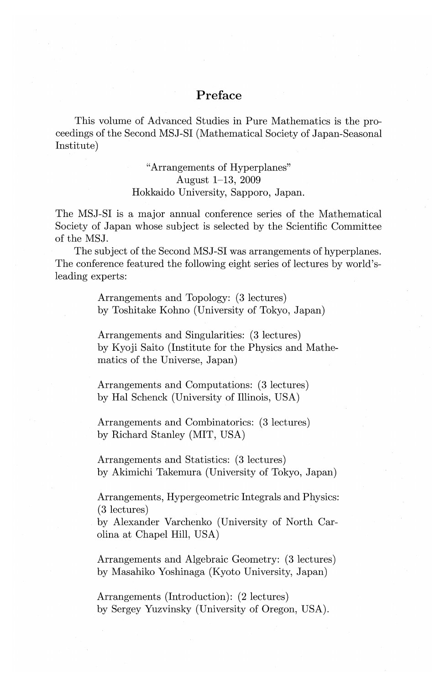## **Preface**

This volume of Advanced Studies in Pure Mathematics is the proceedings of the Second MSJ-SI (Mathematical Society of Japan-Seasonal Institute)

## "Arrangements of Hyperplanes" August 1-13, 2009 Hokkaido University, Sapporo, Japan.

The MSJ-SI is a major annual conference series of the Mathematical Society of Japan whose subject is selected by the Scientific Committee of the MSJ.

The subject of the Second MSJ-SI was arrangements of hyperplanes. The conference featured the following eight series of lectures by world'sleading experts:

> Arrangements and Topology: (3 lectures) by Toshitake Kohno (University of Tokyo, Japan)

Arrangements and Singularities: (3 lectures) by Kyoji Saito (Institute for the Physics and Mathematics of the Universe, Japan)

Arrangements and Computations: (3 lectures) by Hal Schenck (University of Illinois, USA)

Arrangements and Combinatorics: (3 lectures) by Richard Stanley (MIT, USA)

Arrangements and Statistics: (3 lectures) by Akimichi Takemura (University of Tokyo, Japan)

Arrangements, Hypergeometric Integrals and Physics: (3 lectures)

by Alexander Varchenko (University of North Carolina at Chapel Hill, USA)

Arrangements and Algebraic Geometry: (3 lectures) by Masahiko Yoshinaga (Kyoto University, Japan)

Arrangements (Introduction): (2 lectures) by Sergey Yuzvinsky (University of Oregon, USA).